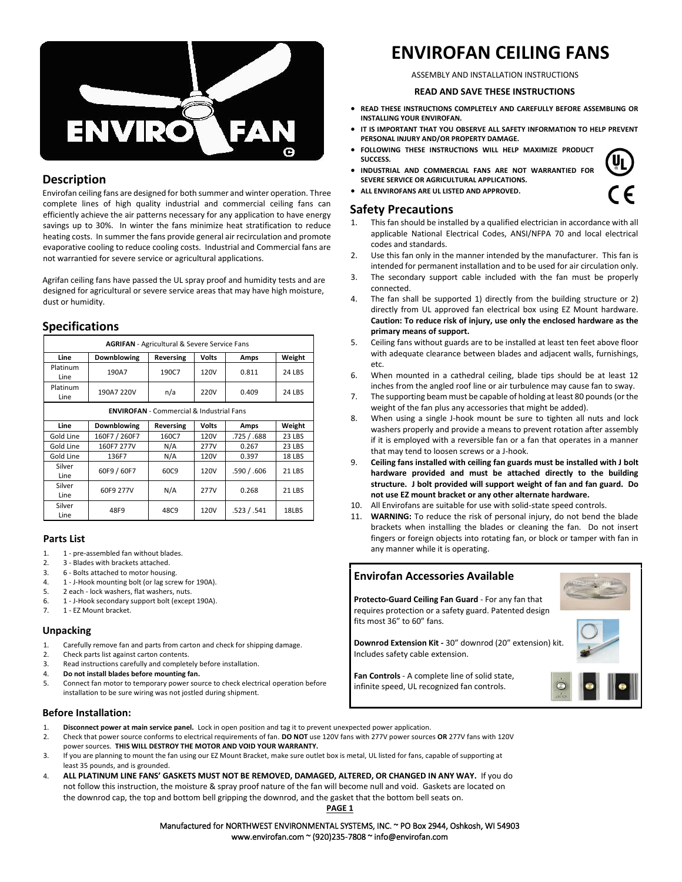

### **Description**

Envirofan ceiling fans are designed for both summer and winter operation. Three complete lines of high quality industrial and commercial ceiling fans can efficiently achieve the air patterns necessary for any application to have energy savings up to 30%. In winter the fans minimize heat stratification to reduce heating costs. In summer the fans provide general air recirculation and promote evaporative cooling to reduce cooling costs. Industrial and Commercial fans are not warrantied for severe service or agricultural applications.

Agrifan ceiling fans have passed the UL spray proof and humidity tests and are designed for agricultural or severe service areas that may have high moisture, dust or humidity.

### **Specifications**

| <b>AGRIFAN</b> - Agricultural & Severe Service Fans |               |           |              |             |               |
|-----------------------------------------------------|---------------|-----------|--------------|-------------|---------------|
| Line                                                | Downblowing   | Reversing | Volts        | Amps        | Weight        |
| Platinum<br>Line                                    | 190A7         | 190C7     | 120V         | 0.811       | 24 LBS        |
| Platinum<br>Line                                    | 190A7 220V    | n/a       | 220V         | 0.409       | 24 LBS        |
| <b>ENVIROFAN</b> - Commercial & Industrial Fans     |               |           |              |             |               |
| Line                                                | Downblowing   | Reversing | <b>Volts</b> | Amps        | Weight        |
| Gold Line                                           | 160F7 / 260F7 | 160C7     | 120V         | .725 / .688 | 23 LBS        |
| Gold Line                                           | 160F7 277V    | N/A       | 277V         | 0.267       | 23 LBS        |
| Gold Line                                           | 136F7         | N/A       | 120V         | 0.397       | 18 LBS        |
| Silver<br>Line                                      | 60F9 / 60F7   | 60C9      | 120V         | .590/.606   | <b>21 LBS</b> |
| Silver<br>Line                                      | 60F9 277V     | N/A       | 277V         | 0.268       | <b>21 LBS</b> |
| Silver<br>Line                                      | 48F9          | 48C9      | 120V         | .523/.541   | 18LBS         |

### **Parts List**

- 1. 1 pre-assembled fan without blades.
- 2. 3 Blades with brackets attached.
- 3. 6 Bolts attached to motor housing.
- 4. 1 J-Hook mounting bolt (or lag screw for 190A).
- 5. 2 each lock washers, flat washers, nuts.
- 6. 1 J-Hook secondary support bolt (except 190A).
- 7. 1 EZ Mount bracket.

#### **Unpacking**

- 1. Carefully remove fan and parts from carton and check for shipping damage.
- 2. Check parts list against carton contents.
- 3. Read instructions carefully and completely before installation.
- 4. **Do not install blades before mounting fan.**
- 5. Connect fan motor to temporary power source to check electrical operation before installation to be sure wiring was not jostled during shipment.

#### **Before Installation:**

- 1. **Disconnect power at main service panel.** Lock in open position and tag it to prevent unexpected power application.
- 2. Check that power source conforms to electrical requirements of fan. **DO NOT** use 120V fans with 277V power sources **OR** 277V fans with 120V power sources. **THIS WILL DESTROY THE MOTOR AND VOID YOUR WARRANTY.**
- 3. If you are planning to mount the fan using our EZ Mount Bracket, make sure outlet box is metal, UL listed for fans, capable of supporting at least 35 pounds, and is grounded.
- 4. **ALL PLATINUM LINE FANS' GASKETS MUST NOT BE REMOVED, DAMAGED, ALTERED, OR CHANGED IN ANY WAY.** If you do not follow this instruction, the moisture & spray proof nature of the fan will become null and void. Gaskets are located on the downrod cap, the top and bottom bell gripping the downrod, and the gasket that the bottom bell seats on. **PAGE 1**

# **ENVIROFAN CEILING FANS**

ASSEMBLY AND INSTALLATION INSTRUCTIONS

#### **READ AND SAVE THESE INSTRUCTIONS**

- **READ THESE INSTRUCTIONS COMPLETELY AND CAREFULLY BEFORE ASSEMBLING OR INSTALLING YOUR ENVIROFAN.**
- **IT IS IMPORTANT THAT YOU OBSERVE ALL SAFETY INFORMATION TO HELP PREVENT PERSONAL INJURY AND/OR PROPERTY DAMAGE.**
- **FOLLOWING THESE INSTRUCTIONS WILL HELP MAXIMIZE PRODUCT SUCCESS.**
- **INDUSTRIAL AND COMMERCIAL FANS ARE NOT WARRANTIED FOR SEVERE SERVICE OR AGRICULTURAL APPLICATIONS.**
- **ALL ENVIROFANS ARE UL LISTED AND APPROVED.**

### **Safety Precautions**

- 1. This fan should be installed by a qualified electrician in accordance with all applicable National Electrical Codes, ANSI/NFPA 70 and local electrical codes and standards.
- 2. Use this fan only in the manner intended by the manufacturer. This fan is intended for permanent installation and to be used for air circulation only.
- 3. The secondary support cable included with the fan must be properly connected.
- 4. The fan shall be supported 1) directly from the building structure or 2) directly from UL approved fan electrical box using EZ Mount hardware. **Caution: To reduce risk of injury, use only the enclosed hardware as the primary means of support.**
- 5. Ceiling fans without guards are to be installed at least ten feet above floor with adequate clearance between blades and adjacent walls, furnishings, etc.
- 6. When mounted in a cathedral ceiling, blade tips should be at least 12 inches from the angled roof line or air turbulence may cause fan to sway.
- 7. The supporting beam must be capable of holding at least 80 pounds (or the weight of the fan plus any accessories that might be added).
- 8. When using a single J-hook mount be sure to tighten all nuts and lock washers properly and provide a means to prevent rotation after assembly if it is employed with a reversible fan or a fan that operates in a manner that may tend to loosen screws or a J-hook.
- 9. **Ceiling fans installed with ceiling fan guards must be installed with J bolt hardware provided and must be attached directly to the building structure. J bolt provided will support weight of fan and fan guard. Do not use EZ mount bracket or any other alternate hardware.**
- 10. All Envirofans are suitable for use with solid-state speed controls.
- 11. **WARNING:** To reduce the risk of personal injury, do not bend the blade brackets when installing the blades or cleaning the fan. Do not insert fingers or foreign objects into rotating fan, or block or tamper with fan in any manner while it is operating.

## **Envirofan Accessories Available Protecto-Guard Ceiling Fan Guard** - For any fan that requires protection or a safety guard. Patented design fits most 36" to 60" fans. **Downrod Extension Kit -** 30" downrod (20" extension) kit. Includes safety cable extension. **Fan Controls** - A complete line of solid state, infinite speed, UL recognized fan controls.

Manufactured for NORTHWEST ENVIRONMENTAL SYSTEMS, INC. ~ PO Box 2944, Oshkosh, WI 54903 www.envirofan.com ~ (920)235-7808 ~ info@envirofan.com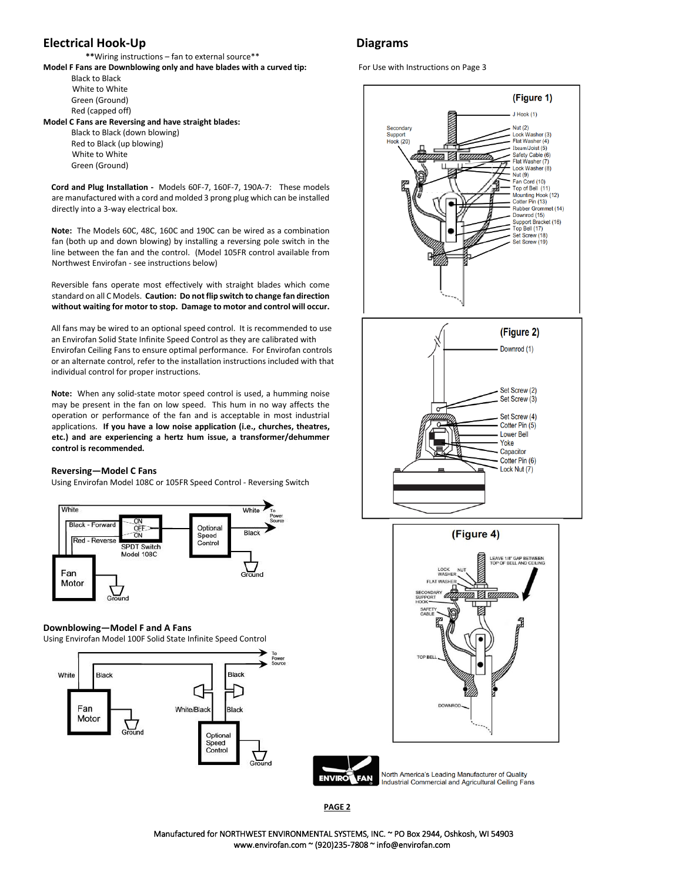### **Electrical Hook-Up Diagrams Diagrams**

 **\*\***Wiring instructions – fan to external source\*\*

**Model F Fans are Downblowing only and have blades with a curved tip:** For Use with Instructions on Page 3 Black to Black

White to White Green (Ground) Red (capped off)

**Model C Fans are Reversing and have straight blades:** 

Black to Black (down blowing) Red to Black (up blowing) White to White Green (Ground)

**Cord and Plug Installation -** Models 60F-7, 160F-7, 190A-7: These models are manufactured with a cord and molded 3 prong plug which can be installed directly into a 3-way electrical box.

**Note:** The Models 60C, 48C, 160C and 190C can be wired as a combination fan (both up and down blowing) by installing a reversing pole switch in the line between the fan and the control. (Model 105FR control available from Northwest Envirofan - see instructions below)

Reversible fans operate most effectively with straight blades which come standard on all C Models. **Caution: Do not flip switch to change fan direction without waiting for motor to stop. Damage to motor and control will occur.** 

All fans may be wired to an optional speed control. It is recommended to use an Envirofan Solid State Infinite Speed Control as they are calibrated with Envirofan Ceiling Fans to ensure optimal performance. For Envirofan controls or an alternate control, refer to the installation instructions included with that individual control for proper instructions.

**Note:** When any solid-state motor speed control is used, a humming noise may be present in the fan on low speed. This hum in no way affects the operation or performance of the fan and is acceptable in most industrial applications. **If you have a low noise application (i.e., churches, theatres, etc.) and are experiencing a hertz hum issue, a transformer/dehummer control is recommended.**

#### **Reversing—Model C Fans**

Using Envirofan Model 108C or 105FR Speed Control - Reversing Switch



#### **Downblowing—Model F and A Fans**

Using Envirofan Model 100F Solid State Infinite Speed Control





**TOP BEL** 

North America's Leading Manufacturer of Quality Industrial Commercial and Agricultural Ceiling Fans

**PAGE 2**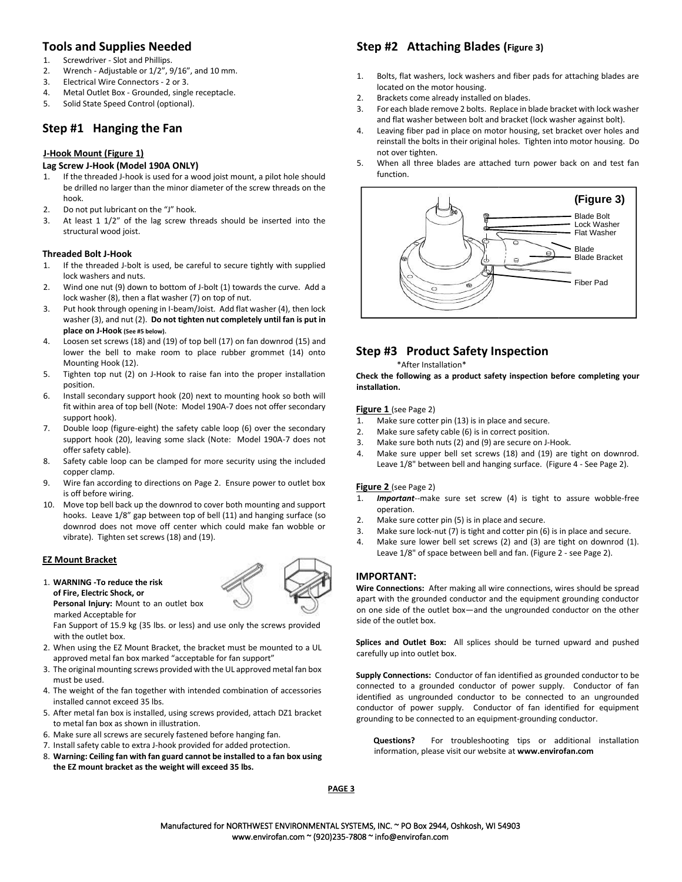### **Tools and Supplies Needed**

- 1. Screwdriver Slot and Phillips.
- 2. Wrench Adjustable or 1/2", 9/16", and 10 mm.
- 3. Electrical Wire Connectors 2 or 3.
- 4. Metal Outlet Box Grounded, single receptacle.
- 5. Solid State Speed Control (optional).

### **Step #1 Hanging the Fan**

#### **J-Hook Mount (Figure 1)**

#### **Lag Screw J-Hook (Model 190A ONLY)**

- 1. If the threaded J-hook is used for a wood joist mount, a pilot hole should be drilled no larger than the minor diameter of the screw threads on the hook.
- 2. Do not put lubricant on the "J" hook.
- 3. At least 1 1/2" of the lag screw threads should be inserted into the structural wood joist.

#### **Threaded Bolt J-Hook**

- 1. If the threaded J-bolt is used, be careful to secure tightly with supplied lock washers and nuts.
- 2. Wind one nut (9) down to bottom of J-bolt (1) towards the curve. Add a lock washer (8), then a flat washer (7) on top of nut.
- 3. Put hook through opening in I-beam/Joist. Add flat washer (4), then lock washer (3), and nut (2). **Do not tighten nut completely until fan is put in place on J-Hook (See #5 below).**
- 4. Loosen set screws (18) and (19) of top bell (17) on fan downrod (15) and lower the bell to make room to place rubber grommet (14) onto Mounting Hook (12).
- 5. Tighten top nut (2) on J-Hook to raise fan into the proper installation position.
- 6. Install secondary support hook (20) next to mounting hook so both will fit within area of top bell (Note: Model 190A-7 does not offer secondary support hook).
- 7. Double loop (figure-eight) the safety cable loop (6) over the secondary support hook (20), leaving some slack (Note: Model 190A-7 does not offer safety cable).
- 8. Safety cable loop can be clamped for more security using the included copper clamp.
- 9. Wire fan according to directions on Page 2. Ensure power to outlet box is off before wiring.
- 10. Move top bell back up the downrod to cover both mounting and support hooks. Leave 1/8" gap between top of bell (11) and hanging surface (so downrod does not move off center which could make fan wobble or vibrate). Tighten set screws (18) and (19).

#### **EZ Mount Bracket**

#### 1. **WARNING -To reduce the risk of Fire, Electric Shock, or**

**Personal Injury:** Mount to an outlet box marked Acceptable for

Fan Support of 15.9 kg (35 lbs. or less) and use only the screws provided with the outlet box.

- 2. When using the EZ Mount Bracket, the bracket must be mounted to a UL approved metal fan box marked "acceptable for fan support"
- 3. The original mounting screws provided with the UL approved metal fan box must be used.
- 4. The weight of the fan together with intended combination of accessories installed cannot exceed 35 lbs.
- 5. After metal fan box is installed, using screws provided, attach DZ1 bracket to metal fan box as shown in illustration.
- 6. Make sure all screws are securely fastened before hanging fan.
- 7. Install safety cable to extra J-hook provided for added protection.
- 8. **Warning: Ceiling fan with fan guard cannot be installed to a fan box using the EZ mount bracket as the weight will exceed 35 lbs.**

### **Step #2 Attaching Blades (Figure 3)**

- 1. Bolts, flat washers, lock washers and fiber pads for attaching blades are located on the motor housing.
- 2. Brackets come already installed on blades.
- 3. For each blade remove 2 bolts. Replace in blade bracket with lock washer and flat washer between bolt and bracket (lock washer against bolt).
- 4. Leaving fiber pad in place on motor housing, set bracket over holes and reinstall the bolts in their original holes. Tighten into motor housing. Do not over tighten.
- 5. When all three blades are attached turn power back on and test fan function.



## **Step #3 Product Safety Inspection**

### \*After Installation\*

**Check the following as a product safety inspection before completing your installation.** 

#### **Figure 1** (see Page 2)

- 1. Make sure cotter pin (13) is in place and secure.
- 2. Make sure safety cable (6) is in correct position.
- 3. Make sure both nuts (2) and (9) are secure on J-Hook.
- 4. Make sure upper bell set screws (18) and (19) are tight on downrod. Leave 1/8" between bell and hanging surface. (Figure 4 - See Page 2).

#### **Figure 2** (see Page 2)

- 1. *Important*--make sure set screw (4) is tight to assure wobble-free operation.
- 2. Make sure cotter pin (5) is in place and secure.
- 3. Make sure lock-nut (7) is tight and cotter pin (6) is in place and secure.
- 4. Make sure lower bell set screws (2) and (3) are tight on downrod (1). Leave 1/8" of space between bell and fan. (Figure 2 - see Page 2).

#### **IMPORTANT:**

**Wire Connections:** After making all wire connections, wires should be spread apart with the grounded conductor and the equipment grounding conductor on one side of the outlet box—and the ungrounded conductor on the other side of the outlet box.

**Splices and Outlet Box:** All splices should be turned upward and pushed carefully up into outlet box.

**Supply Connections:** Conductor of fan identified as grounded conductor to be connected to a grounded conductor of power supply. Conductor of fan identified as ungrounded conductor to be connected to an ungrounded conductor of power supply. Conductor of fan identified for equipment grounding to be connected to an equipment-grounding conductor.

**Questions?** For troubleshooting tips or additional installation information, please visit our website at **www.envirofan.com** 

**PAGE 3**